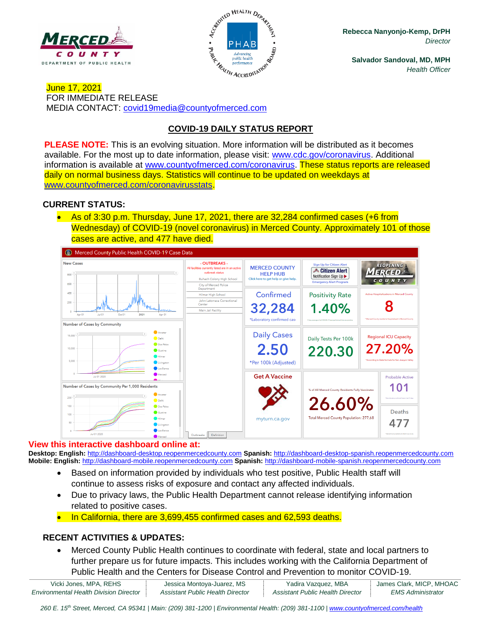



**Rebecca Nanyonjo-Kemp, DrPH** *Director*

**Salvador Sandoval, MD, MPH** *Health Officer*

June 17, 2021 FOR IMMEDIATE RELEASE MEDIA CONTACT: [covid19media@countyofmerced.com](mailto:covid19media@countyofmerced.com)

# **COVID-19 DAILY STATUS REPORT**

**PLEASE NOTE:** This is an evolving situation. More information will be distributed as it becomes available. For the most up to date information, please visit: [www.cdc.gov/coronavirus.](http://www.cdc.gov/coronavirus) Additional information is available at [www.countyofmerced.com/coronavirus.](http://www.countyofmerced.com/coronavirus) These status reports are released daily on normal business days. Statistics will continue to be updated on weekdays at [www.countyofmerced.com/coronavirusstats.](http://www.countyofmerced.com/coronavirusstats)

### **CURRENT STATUS:**

• As of 3:30 p.m. Thursday, June 17, 2021, there are 32,284 confirmed cases (+6 from Wednesday) of COVID-19 (novel coronavirus) in Merced County. Approximately 101 of those cases are active, and 477 have died.



#### **View this interactive dashboard online at:**

**Desktop: English:** [http://dashboard-desktop.reopenmercedcounty.com](http://dashboard-desktop.reopenmercedcounty.com/) **Spanish:** [http://dashboard-desktop-spanish.reopenmercedcounty.com](http://dashboard-desktop-spanish.reopenmercedcounty.com/) **Mobile: English:** [http://dashboard-mobile.reopenmercedcounty.com](http://dashboard-mobile.reopenmercedcounty.com/) **Spanish:** [http://dashboard-mobile-spanish.reopenmercedcounty.com](http://dashboard-mobile-spanish.reopenmercedcounty.com/)

- Based on information provided by individuals who test positive, Public Health staff will continue to assess risks of exposure and contact any affected individuals.
- Due to privacy laws, the Public Health Department cannot release identifying information related to positive cases.
- In California, there are 3,699,455 confirmed cases and 62,593 deaths.

## **RECENT ACTIVITIES & UPDATES:**

• Merced County Public Health continues to coordinate with federal, state and local partners to further prepare us for future impacts. This includes working with the California Department of Public Health and the Centers for Disease Control and Prevention to monitor COVID-19.

| Vicki Jones, MPA, REHS                        | Jessica Montoya-Juarez, MS       | Yadira Vazquez, MBA              | James Clark, MICP, MHOAC |
|-----------------------------------------------|----------------------------------|----------------------------------|--------------------------|
| <b>Environmental Health Division Director</b> | Assistant Public Health Director | Assistant Public Health Director | <b>EMS Administrator</b> |

260 E. 15<sup>th</sup> Street, Merced, CA 95341 | Main: (209) 381-1200 | Environmental Health: (209) 381-1100 | [www.countyofmerced.com/health](http://www.countyofmerced.com/health)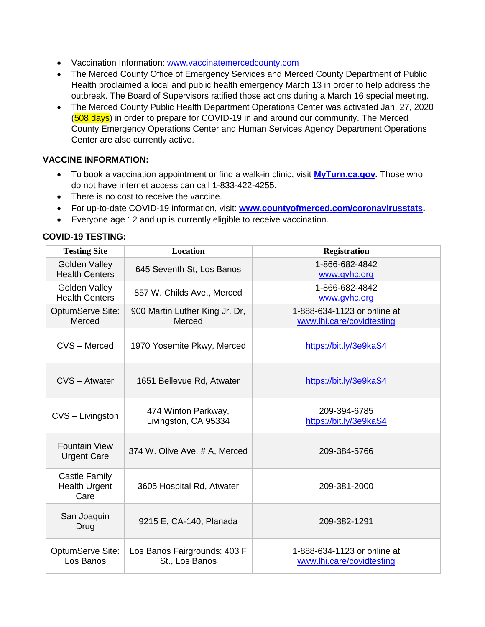- Vaccination Information: [www.vaccinatemercedcounty.com](http://www.vaccinatemercedcounty.com/)
- The Merced County Office of Emergency Services and Merced County Department of Public Health proclaimed a local and public health emergency March 13 in order to help address the outbreak. The Board of Supervisors ratified those actions during a March 16 special meeting.
- The Merced County Public Health Department Operations Center was activated Jan. 27, 2020 (508 days) in order to prepare for COVID-19 in and around our community. The Merced County Emergency Operations Center and Human Services Agency Department Operations Center are also currently active.

### **VACCINE INFORMATION:**

- To book a vaccination appointment or find a walk-in clinic, visit **[MyTurn.ca.gov.](https://myturn.ca.gov/)** Those who do not have internet access can call 1-833-422-4255.
- There is no cost to receive the vaccine.
- For up-to-date COVID-19 information, visit: **[www.countyofmerced.com/coronavirusstats.](http://www.countyofmerced.com/coronavirusstats)**
- Everyone age 12 and up is currently eligible to receive vaccination.

### **COVID-19 TESTING:**

| <b>Testing Site</b>                                  | <b>Location</b>                                | <b>Registration</b>                                      |
|------------------------------------------------------|------------------------------------------------|----------------------------------------------------------|
| <b>Golden Valley</b><br><b>Health Centers</b>        | 645 Seventh St, Los Banos                      | 1-866-682-4842<br>www.gvhc.org                           |
| Golden Valley<br><b>Health Centers</b>               | 857 W. Childs Ave., Merced                     | 1-866-682-4842<br>www.gvhc.org                           |
| <b>OptumServe Site:</b><br>Merced                    | 900 Martin Luther King Jr. Dr,<br>Merced       | 1-888-634-1123 or online at<br>www.lhi.care/covidtesting |
| CVS - Merced                                         | 1970 Yosemite Pkwy, Merced                     | https://bit.ly/3e9kaS4                                   |
| CVS - Atwater                                        | 1651 Bellevue Rd, Atwater                      | https://bit.ly/3e9kaS4                                   |
| CVS - Livingston                                     | 474 Winton Parkway,<br>Livingston, CA 95334    | 209-394-6785<br>https://bit.ly/3e9kaS4                   |
| <b>Fountain View</b><br><b>Urgent Care</b>           | 374 W. Olive Ave. # A, Merced                  | 209-384-5766                                             |
| <b>Castle Family</b><br><b>Health Urgent</b><br>Care | 3605 Hospital Rd, Atwater                      | 209-381-2000                                             |
| San Joaquin<br>Drug                                  | 9215 E, CA-140, Planada                        | 209-382-1291                                             |
| <b>OptumServe Site:</b><br>Los Banos                 | Los Banos Fairgrounds: 403 F<br>St., Los Banos | 1-888-634-1123 or online at<br>www.lhi.care/covidtesting |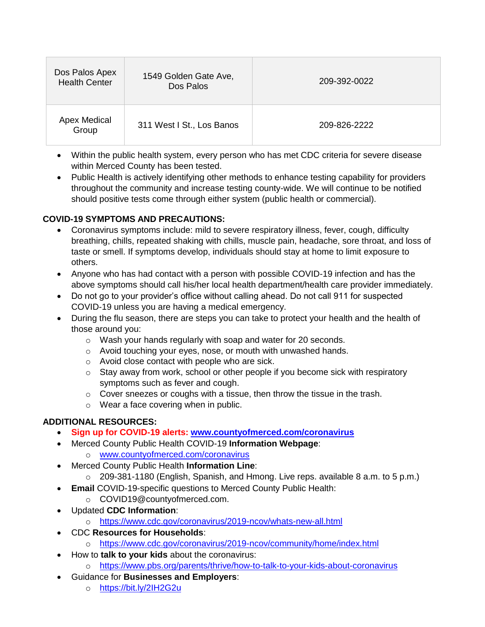| Dos Palos Apex<br><b>Health Center</b> | 1549 Golden Gate Ave,<br>Dos Palos | 209-392-0022 |
|----------------------------------------|------------------------------------|--------------|
| <b>Apex Medical</b><br>Group           | 311 West I St., Los Banos          | 209-826-2222 |

- Within the public health system, every person who has met CDC criteria for severe disease within Merced County has been tested.
- Public Health is actively identifying other methods to enhance testing capability for providers throughout the community and increase testing county-wide. We will continue to be notified should positive tests come through either system (public health or commercial).

## **COVID-19 SYMPTOMS AND PRECAUTIONS:**

- Coronavirus symptoms include: mild to severe respiratory illness, fever, cough, difficulty breathing, chills, repeated shaking with chills, muscle pain, headache, sore throat, and loss of taste or smell. If symptoms develop, individuals should stay at home to limit exposure to others.
- Anyone who has had contact with a person with possible COVID-19 infection and has the above symptoms should call his/her local health department/health care provider immediately.
- Do not go to your provider's office without calling ahead. Do not call 911 for suspected COVID-19 unless you are having a medical emergency.
- During the flu season, there are steps you can take to protect your health and the health of those around you:
	- o Wash your hands regularly with soap and water for 20 seconds.
	- o Avoid touching your eyes, nose, or mouth with unwashed hands.
	- o Avoid close contact with people who are sick.
	- $\circ$  Stay away from work, school or other people if you become sick with respiratory symptoms such as fever and cough.
	- $\circ$  Cover sneezes or coughs with a tissue, then throw the tissue in the trash.
	- o Wear a face covering when in public.

# **ADDITIONAL RESOURCES:**

- **Sign up for COVID-19 alerts: [www.countyofmerced.com/coronavirus](http://www.countyofmerced.com/coronavirus)**
- Merced County Public Health COVID-19 **Information Webpage**:
	- o [www.countyofmerced.com/coronavirus](http://www.countyofmerced.com/coronavirus)
	- Merced County Public Health **Information Line**:
		- o 209-381-1180 (English, Spanish, and Hmong. Live reps. available 8 a.m. to 5 p.m.)
- **Email** COVID-19-specific questions to Merced County Public Health:
	- o COVID19@countyofmerced.com.
- Updated **CDC Information**:
	- o <https://www.cdc.gov/coronavirus/2019-ncov/whats-new-all.html>
- CDC **Resources for Households**:
	- o <https://www.cdc.gov/coronavirus/2019-ncov/community/home/index.html>
- How to **talk to your kids** about the coronavirus:
	- o <https://www.pbs.org/parents/thrive/how-to-talk-to-your-kids-about-coronavirus>
- Guidance for **Businesses and Employers**:
	- o <https://bit.ly/2IH2G2u>